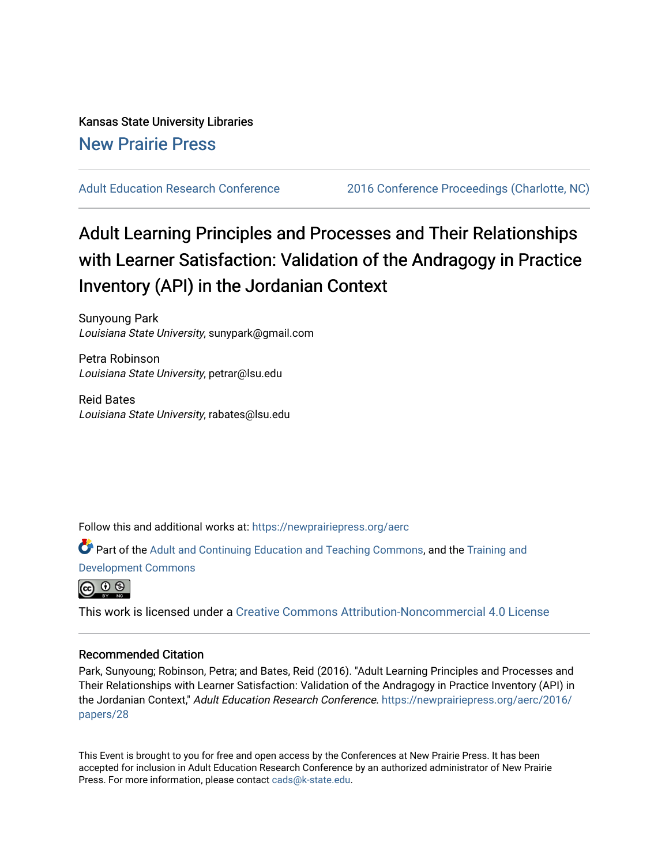Kansas State University Libraries [New Prairie Press](https://newprairiepress.org/) 

[Adult Education Research Conference](https://newprairiepress.org/aerc) [2016 Conference Proceedings \(Charlotte, NC\)](https://newprairiepress.org/aerc/2016) 

# Adult Learning Principles and Processes and Their Relationships with Learner Satisfaction: Validation of the Andragogy in Practice Inventory (API) in the Jordanian Context

Sunyoung Park Louisiana State University, sunypark@gmail.com

Petra Robinson Louisiana State University, petrar@lsu.edu

Reid Bates Louisiana State University, rabates@lsu.edu

Follow this and additional works at: [https://newprairiepress.org/aerc](https://newprairiepress.org/aerc?utm_source=newprairiepress.org%2Faerc%2F2016%2Fpapers%2F28&utm_medium=PDF&utm_campaign=PDFCoverPages)

Part of the [Adult and Continuing Education and Teaching Commons,](http://network.bepress.com/hgg/discipline/804?utm_source=newprairiepress.org%2Faerc%2F2016%2Fpapers%2F28&utm_medium=PDF&utm_campaign=PDFCoverPages) and the [Training and](http://network.bepress.com/hgg/discipline/1257?utm_source=newprairiepress.org%2Faerc%2F2016%2Fpapers%2F28&utm_medium=PDF&utm_campaign=PDFCoverPages) [Development Commons](http://network.bepress.com/hgg/discipline/1257?utm_source=newprairiepress.org%2Faerc%2F2016%2Fpapers%2F28&utm_medium=PDF&utm_campaign=PDFCoverPages) 



This work is licensed under a [Creative Commons Attribution-Noncommercial 4.0 License](https://creativecommons.org/licenses/by-nc/4.0/)

# Recommended Citation

Park, Sunyoung; Robinson, Petra; and Bates, Reid (2016). "Adult Learning Principles and Processes and Their Relationships with Learner Satisfaction: Validation of the Andragogy in Practice Inventory (API) in the Jordanian Context," Adult Education Research Conference. [https://newprairiepress.org/aerc/2016/](https://newprairiepress.org/aerc/2016/papers/28) [papers/28](https://newprairiepress.org/aerc/2016/papers/28) 

This Event is brought to you for free and open access by the Conferences at New Prairie Press. It has been accepted for inclusion in Adult Education Research Conference by an authorized administrator of New Prairie Press. For more information, please contact [cads@k-state.edu.](mailto:cads@k-state.edu)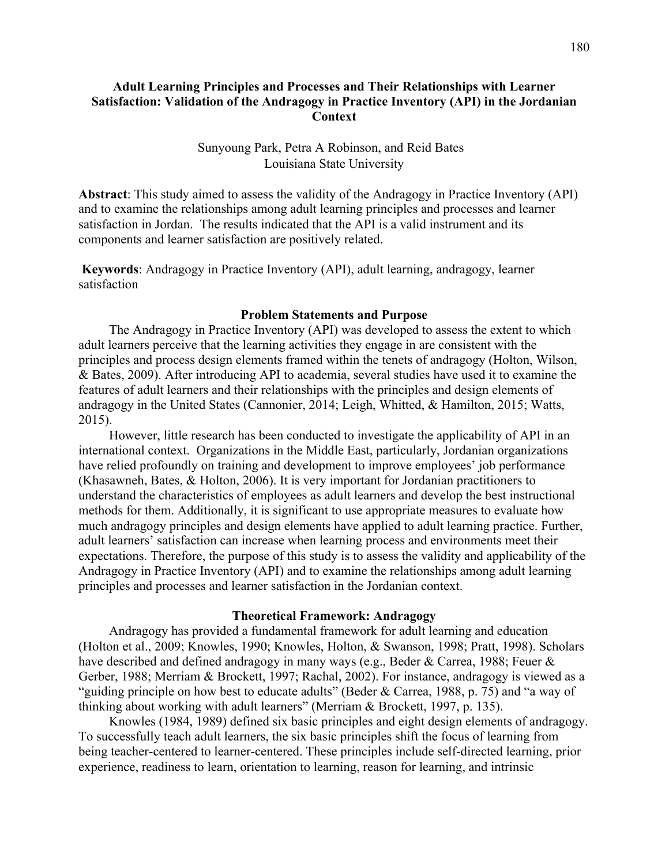# **Adult Learning Principles and Processes and Their Relationships with Learner Satisfaction: Validation of the Andragogy in Practice Inventory (API) in the Jordanian Context**

# Sunyoung Park, Petra A Robinson, and Reid Bates Louisiana State University

**Abstract**: This study aimed to assess the validity of the Andragogy in Practice Inventory (API) and to examine the relationships among adult learning principles and processes and learner satisfaction in Jordan. The results indicated that the API is a valid instrument and its components and learner satisfaction are positively related.

**Keywords**: Andragogy in Practice Inventory (API), adult learning, andragogy, learner satisfaction

## **Problem Statements and Purpose**

The Andragogy in Practice Inventory (API) was developed to assess the extent to which adult learners perceive that the learning activities they engage in are consistent with the principles and process design elements framed within the tenets of andragogy (Holton, Wilson, & Bates, 2009). After introducing API to academia, several studies have used it to examine the features of adult learners and their relationships with the principles and design elements of andragogy in the United States (Cannonier, 2014; Leigh, Whitted, & Hamilton, 2015; Watts, 2015).

However, little research has been conducted to investigate the applicability of API in an international context. Organizations in the Middle East, particularly, Jordanian organizations have relied profoundly on training and development to improve employees' job performance (Khasawneh, Bates, & Holton, 2006). It is very important for Jordanian practitioners to understand the characteristics of employees as adult learners and develop the best instructional methods for them. Additionally, it is significant to use appropriate measures to evaluate how much andragogy principles and design elements have applied to adult learning practice. Further, adult learners' satisfaction can increase when learning process and environments meet their expectations. Therefore, the purpose of this study is to assess the validity and applicability of the Andragogy in Practice Inventory (API) and to examine the relationships among adult learning principles and processes and learner satisfaction in the Jordanian context.

# **Theoretical Framework: Andragogy**

Andragogy has provided a fundamental framework for adult learning and education (Holton et al., 2009; Knowles, 1990; Knowles, Holton, & Swanson, 1998; Pratt, 1998). Scholars have described and defined andragogy in many ways (e.g., Beder & Carrea, 1988; Feuer & Gerber, 1988; Merriam & Brockett, 1997; Rachal, 2002). For instance, andragogy is viewed as a "guiding principle on how best to educate adults" (Beder & Carrea, 1988, p. 75) and "a way of thinking about working with adult learners" (Merriam & Brockett, 1997, p. 135).

Knowles (1984, 1989) defined six basic principles and eight design elements of andragogy. To successfully teach adult learners, the six basic principles shift the focus of learning from being teacher-centered to learner-centered. These principles include self-directed learning, prior experience, readiness to learn, orientation to learning, reason for learning, and intrinsic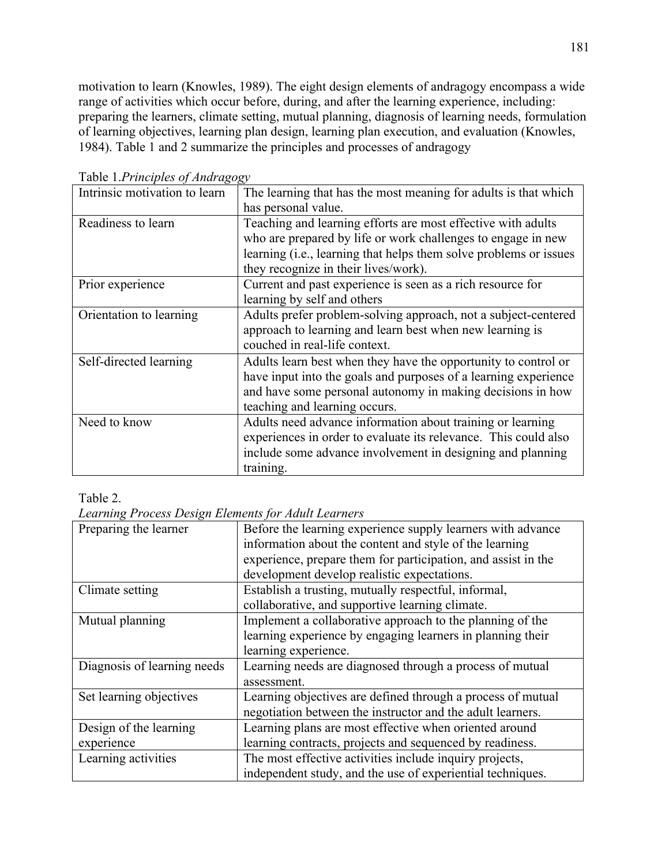motivation to learn (Knowles, 1989). The eight design elements of andragogy encompass a wide range of activities which occur before, during, and after the learning experience, including: preparing the learners, climate setting, mutual planning, diagnosis of learning needs, formulation of learning objectives, learning plan design, learning plan execution, and evaluation (Knowles, 1984). Table 1 and 2 summarize the principles and processes of andragogy

| Intrinsic motivation to learn | The learning that has the most meaning for adults is that which   |  |  |  |  |  |  |
|-------------------------------|-------------------------------------------------------------------|--|--|--|--|--|--|
|                               | has personal value.                                               |  |  |  |  |  |  |
| Readiness to learn            | Teaching and learning efforts are most effective with adults      |  |  |  |  |  |  |
|                               | who are prepared by life or work challenges to engage in new      |  |  |  |  |  |  |
|                               | learning (i.e., learning that helps them solve problems or issues |  |  |  |  |  |  |
|                               | they recognize in their lives/work).                              |  |  |  |  |  |  |
| Prior experience              | Current and past experience is seen as a rich resource for        |  |  |  |  |  |  |
|                               | learning by self and others                                       |  |  |  |  |  |  |
| Orientation to learning       | Adults prefer problem-solving approach, not a subject-centered    |  |  |  |  |  |  |
|                               | approach to learning and learn best when new learning is          |  |  |  |  |  |  |
|                               | couched in real-life context.                                     |  |  |  |  |  |  |
| Self-directed learning        | Adults learn best when they have the opportunity to control or    |  |  |  |  |  |  |
|                               | have input into the goals and purposes of a learning experience   |  |  |  |  |  |  |
|                               | and have some personal autonomy in making decisions in how        |  |  |  |  |  |  |
|                               | teaching and learning occurs.                                     |  |  |  |  |  |  |
| Need to know                  | Adults need advance information about training or learning        |  |  |  |  |  |  |
|                               | experiences in order to evaluate its relevance. This could also   |  |  |  |  |  |  |
|                               | include some advance involvement in designing and planning        |  |  |  |  |  |  |
|                               | training.                                                         |  |  |  |  |  |  |

Table 1.*Principles of Andragogy*

# Table 2.

*Learning Process Design Elements for Adult Learners*

| Preparing the learner       | Before the learning experience supply learners with advance   |
|-----------------------------|---------------------------------------------------------------|
|                             | information about the content and style of the learning       |
|                             | experience, prepare them for participation, and assist in the |
|                             | development develop realistic expectations.                   |
| Climate setting             | Establish a trusting, mutually respectful, informal,          |
|                             | collaborative, and supportive learning climate.               |
| Mutual planning             | Implement a collaborative approach to the planning of the     |
|                             | learning experience by engaging learners in planning their    |
|                             | learning experience.                                          |
| Diagnosis of learning needs | Learning needs are diagnosed through a process of mutual      |
|                             | assessment.                                                   |
| Set learning objectives     | Learning objectives are defined through a process of mutual   |
|                             | negotiation between the instructor and the adult learners.    |
| Design of the learning      | Learning plans are most effective when oriented around        |
| experience                  | learning contracts, projects and sequenced by readiness.      |
| Learning activities         | The most effective activities include inquiry projects,       |
|                             | independent study, and the use of experiential techniques.    |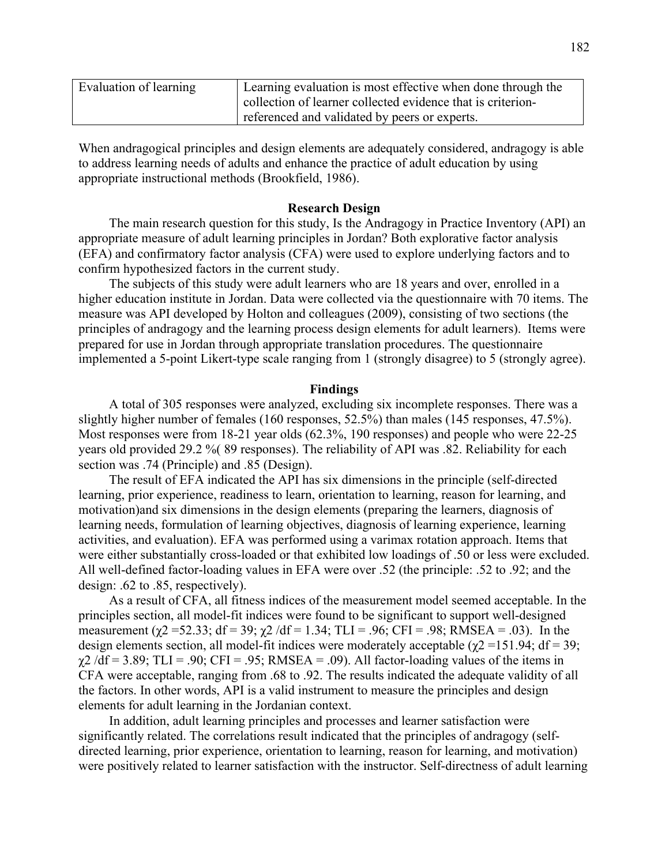| Evaluation of learning | Learning evaluation is most effective when done through the |
|------------------------|-------------------------------------------------------------|
|                        | collection of learner collected evidence that is criterion- |
|                        | referenced and validated by peers or experts.               |

When andragogical principles and design elements are adequately considered, andragogy is able to address learning needs of adults and enhance the practice of adult education by using appropriate instructional methods (Brookfield, 1986).

#### **Research Design**

The main research question for this study, Is the Andragogy in Practice Inventory (API) an appropriate measure of adult learning principles in Jordan? Both explorative factor analysis (EFA) and confirmatory factor analysis (CFA) were used to explore underlying factors and to confirm hypothesized factors in the current study.

The subjects of this study were adult learners who are 18 years and over, enrolled in a higher education institute in Jordan. Data were collected via the questionnaire with 70 items. The measure was API developed by Holton and colleagues (2009), consisting of two sections (the principles of andragogy and the learning process design elements for adult learners). Items were prepared for use in Jordan through appropriate translation procedures. The questionnaire implemented a 5-point Likert-type scale ranging from 1 (strongly disagree) to 5 (strongly agree).

#### **Findings**

A total of 305 responses were analyzed, excluding six incomplete responses. There was a slightly higher number of females (160 responses, 52.5%) than males (145 responses, 47.5%). Most responses were from 18-21 year olds (62.3%, 190 responses) and people who were 22-25 years old provided 29.2 %( 89 responses). The reliability of API was .82. Reliability for each section was .74 (Principle) and .85 (Design).

The result of EFA indicated the API has six dimensions in the principle (self-directed learning, prior experience, readiness to learn, orientation to learning, reason for learning, and motivation)and six dimensions in the design elements (preparing the learners, diagnosis of learning needs, formulation of learning objectives, diagnosis of learning experience, learning activities, and evaluation). EFA was performed using a varimax rotation approach. Items that were either substantially cross-loaded or that exhibited low loadings of .50 or less were excluded. All well-defined factor-loading values in EFA were over .52 (the principle: .52 to .92; and the design: .62 to .85, respectively).

As a result of CFA, all fitness indices of the measurement model seemed acceptable. In the principles section, all model-fit indices were found to be significant to support well-designed measurement ( $\chi$ 2 =52.33; df = 39;  $\chi$ 2 /df = 1.34; TLI = .96; CFI = .98; RMSEA = .03). In the design elements section, all model-fit indices were moderately acceptable ( $\gamma$ 2 =151.94; df = 39;  $\chi$ 2 /df = 3.89; TLI = .90; CFI = .95; RMSEA = .09). All factor-loading values of the items in CFA were acceptable, ranging from .68 to .92. The results indicated the adequate validity of all the factors. In other words, API is a valid instrument to measure the principles and design elements for adult learning in the Jordanian context.

In addition, adult learning principles and processes and learner satisfaction were significantly related. The correlations result indicated that the principles of andragogy (selfdirected learning, prior experience, orientation to learning, reason for learning, and motivation) were positively related to learner satisfaction with the instructor. Self-directness of adult learning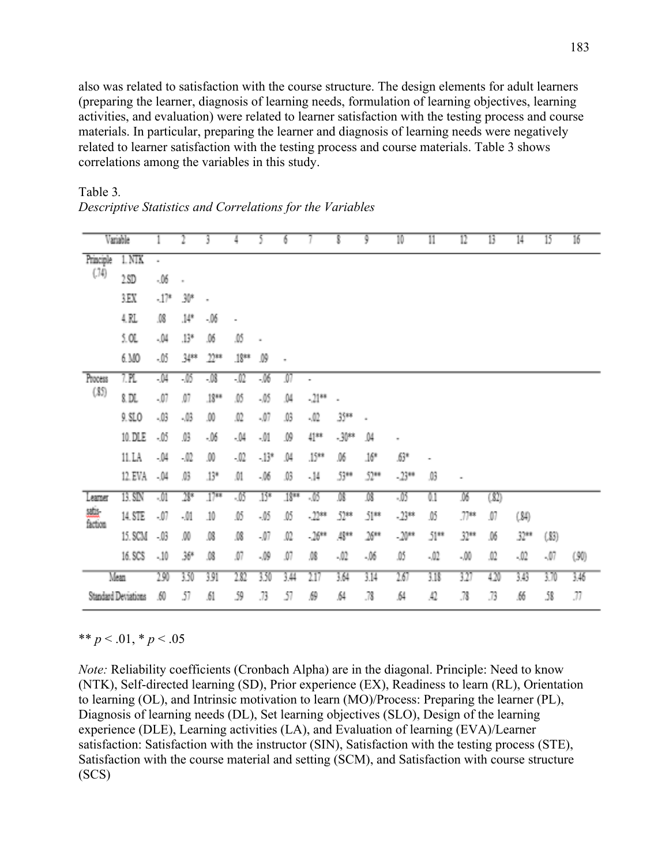also was related to satisfaction with the course structure. The design elements for adult learners (preparing the learner, diagnosis of learning needs, formulation of learning objectives, learning activities, and evaluation) were related to learner satisfaction with the testing process and course materials. In particular, preparing the learner and diagnosis of learning needs were negatively related to learner satisfaction with the testing process and course materials. Table 3 shows correlations among the variables in this study.

|                   | Variable            |        |       | 3      | 4                            |        | 6      |          |         | 9       | 10      | Π    | 12     | 13   | 14     | 15    | 16   |
|-------------------|---------------------|--------|-------|--------|------------------------------|--------|--------|----------|---------|---------|---------|------|--------|------|--------|-------|------|
| Principle<br>(74) | $1$ NTK             | ٠      |       |        |                              |        |        |          |         |         |         |      |        |      |        |       |      |
|                   | 2 SD                | $-06$  |       |        |                              |        |        |          |         |         |         |      |        |      |        |       |      |
|                   | 3 E.X               | $-17*$ | 30*   | ٠      |                              |        |        |          |         |         |         |      |        |      |        |       |      |
|                   | 4.RL                | .OG    | $14*$ | -.06   | $\qquad \qquad \blacksquare$ |        |        |          |         |         |         |      |        |      |        |       |      |
|                   | 5. OL               | .04    | .13*  | .06    | .05                          | ٠      |        |          |         |         |         |      |        |      |        |       |      |
|                   | 6.MO                | -05    | 34**  | $22**$ | 18**                         | Ĵ9     | ×      |          |         |         |         |      |        |      |        |       |      |
| Process<br>(35)   | 7.PL                | -04    | -16   | -18    | $-\Omega$                    | $-16$  | M      | ۰        |         |         |         |      |        |      |        |       |      |
|                   | 8.DL                | $-07$  | Ø7    | $18**$ | .OS                          | -.05   | .04    | $-21***$ | ٠       |         |         |      |        |      |        |       |      |
|                   | 9. SLO              | $-03$  | -.03  | .00    | .02                          | -,07   | ĴĜ,    | $-02$    | 35**    | ٠       |         |      |        |      |        |       |      |
|                   | 10. DLE             | -05    | JG.   | - 06   | -04                          | -.01   | Ĵ9     | $41***$  | $-30**$ | Ĵ4      | ٠       |      |        |      |        |       |      |
|                   | 11.LA               | -.04   | -.02  | .OO    | .02                          | $-13*$ | .04    | .15**    | .06     | $16*$   | 53*     | ۰    |        |      |        |       |      |
|                   | 12. EVA             | .04    | JG    | $13^*$ | .O1                          | -.06   | JG     | $-14$    | 53**    | $52**$  | $-23$   | ĴĴ   | ٠      |      |        |       |      |
| Learner           | 13. SIN             | -01    | $28*$ | $17**$ | -05                          | $15*$  | $18**$ | -03      | ĴŜ      | 鴋       | -.03    | 0.1  | .06    | (32) |        |       |      |
| sais<br>faction   | 14. STE             | -.07   | -01   | 10     | ĴŐ.                          | -.05   | ĴŚ     | $.22**$  | 52**    | $51***$ | $-23**$ | M    | $77**$ | M    | (34)   |       |      |
|                   | 15. SCM             | - 03   | м     | .08    | .OG                          | -.07   | Ω      | $-26***$ | $45**$  | $26**$  | $-20**$ | 51** | $32**$ | .06  | $32**$ | (33)  |      |
|                   | 16. SCS             | $-10$  | 36*   | .08    | .07                          | -.09   | .O7    | .OB      | $-02$   | -.06    | .05     | -.02 | -.00   | .02  | .02    | $-07$ | (50) |
|                   | Mean                | 290    | 3.50  | 3.91   | $\overline{282}$             | 3.50   | 3,44   | 217      | 3.64    | 3.14    | 267     | 3.18 | 327    | 420  | 3.43   | 3.70  | 3.46 |
|                   | Standard Deviations | .60    | 57    | .61    | 59                           | .73    | 57     | 册        | ,64     | .78     | ,64     | Ω    | .78    | .73  | .66    | 58    | .77  |

Table 3*. Descriptive Statistics and Correlations for the Variables* 

\*\* *p* < .01, \* *p* < .05

*Note:* Reliability coefficients (Cronbach Alpha) are in the diagonal. Principle: Need to know (NTK), Self-directed learning (SD), Prior experience (EX), Readiness to learn (RL), Orientation to learning (OL), and Intrinsic motivation to learn (MO)/Process: Preparing the learner (PL), Diagnosis of learning needs (DL), Set learning objectives (SLO), Design of the learning experience (DLE), Learning activities (LA), and Evaluation of learning (EVA)/Learner satisfaction: Satisfaction with the instructor (SIN), Satisfaction with the testing process (STE), Satisfaction with the course material and setting (SCM), and Satisfaction with course structure (SCS)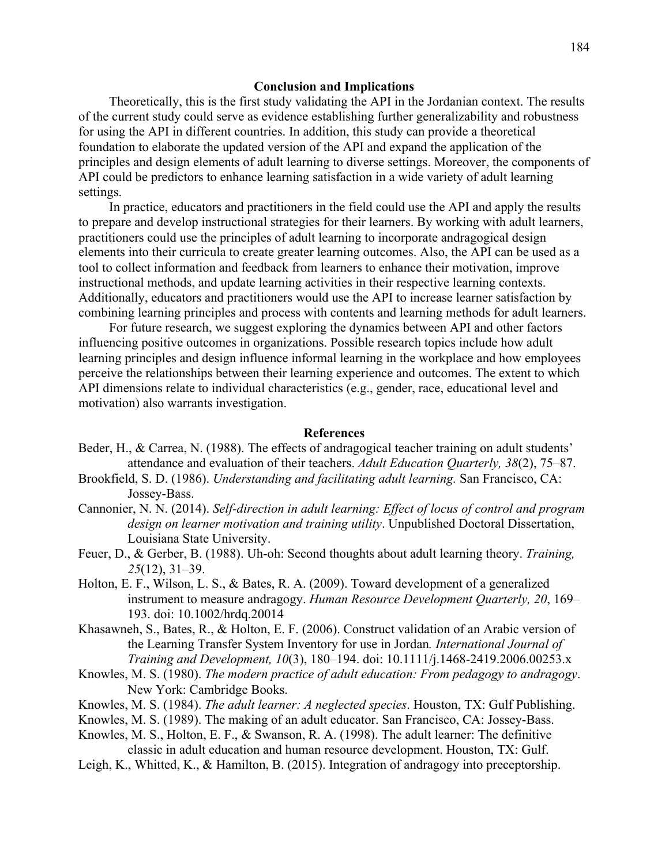## **Conclusion and Implications**

Theoretically, this is the first study validating the API in the Jordanian context. The results of the current study could serve as evidence establishing further generalizability and robustness for using the API in different countries. In addition, this study can provide a theoretical foundation to elaborate the updated version of the API and expand the application of the principles and design elements of adult learning to diverse settings. Moreover, the components of API could be predictors to enhance learning satisfaction in a wide variety of adult learning settings.

In practice, educators and practitioners in the field could use the API and apply the results to prepare and develop instructional strategies for their learners. By working with adult learners, practitioners could use the principles of adult learning to incorporate andragogical design elements into their curricula to create greater learning outcomes. Also, the API can be used as a tool to collect information and feedback from learners to enhance their motivation, improve instructional methods, and update learning activities in their respective learning contexts. Additionally, educators and practitioners would use the API to increase learner satisfaction by combining learning principles and process with contents and learning methods for adult learners.

For future research, we suggest exploring the dynamics between API and other factors influencing positive outcomes in organizations. Possible research topics include how adult learning principles and design influence informal learning in the workplace and how employees perceive the relationships between their learning experience and outcomes. The extent to which API dimensions relate to individual characteristics (e.g., gender, race, educational level and motivation) also warrants investigation.

## **References**

- Beder, H., & Carrea, N. (1988). The effects of andragogical teacher training on adult students' attendance and evaluation of their teachers. *Adult Education Quarterly, 38*(2), 75–87.
- Brookfield, S. D. (1986). *Understanding and facilitating adult learning.* San Francisco, CA: Jossey-Bass.
- Cannonier, N. N. (2014). *Self-direction in adult learning: Effect of locus of control and program design on learner motivation and training utility*. Unpublished Doctoral Dissertation, Louisiana State University.
- Feuer, D., & Gerber, B. (1988). Uh-oh: Second thoughts about adult learning theory. *Training, 25*(12), 31–39.
- Holton, E. F., Wilson, L. S., & Bates, R. A. (2009). Toward development of a generalized instrument to measure andragogy. *Human Resource Development Quarterly, 20*, 169– 193. doi: 10.1002/hrdq.20014
- Khasawneh, S., Bates, R., & Holton, E. F. (2006). Construct validation of an Arabic version of the Learning Transfer System Inventory for use in Jordan*. International Journal of Training and Development, 10*(3), 180–194. doi: 10.1111/j.1468-2419.2006.00253.x
- Knowles, M. S. (1980). *The modern practice of adult education: From pedagogy to andragogy*. New York: Cambridge Books.
- Knowles, M. S. (1984). *The adult learner: A neglected species*. Houston, TX: Gulf Publishing.
- Knowles, M. S. (1989). The making of an adult educator. San Francisco, CA: Jossey-Bass.
- Knowles, M. S., Holton, E. F., & Swanson, R. A. (1998). The adult learner: The definitive
	- classic in adult education and human resource development. Houston, TX: Gulf.
- Leigh, K., Whitted, K., & Hamilton, B. (2015). Integration of andragogy into preceptorship.